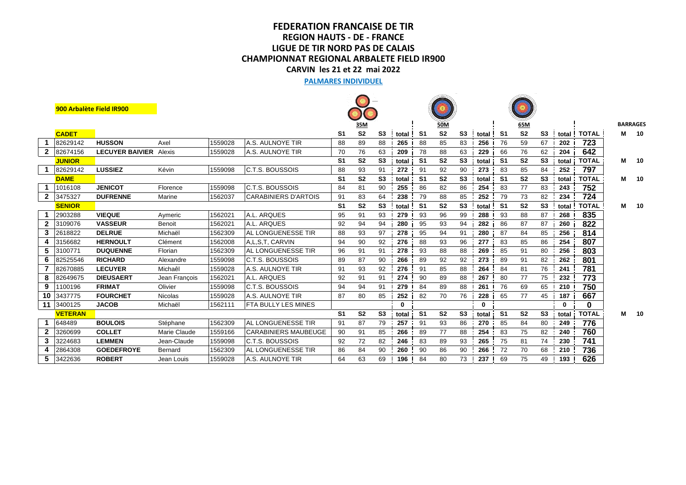## **CHAMPIONNAT REGIONAL ARBALETE FIELD IR900 CARVIN les 21 et 22 mai 2022 LIGUE DE TIR NORD PAS DE CALAIS FEDERATION FRANCAISE DE TIR REGION HAUTS - DE - FRANCE**

#### **PALMARES INDIVIDUEL**

|              | 900 Arbalète Field IR900 |                        |                |         |                             |                |                |                |         |                |                |                |          |                |                |                |          |              |   |                 |
|--------------|--------------------------|------------------------|----------------|---------|-----------------------------|----------------|----------------|----------------|---------|----------------|----------------|----------------|----------|----------------|----------------|----------------|----------|--------------|---|-----------------|
|              |                          |                        |                |         |                             |                | 35M            |                |         |                | 50M            |                |          |                | 65M            |                |          |              |   | <b>BARRAGES</b> |
|              | <b>CADET</b>             |                        |                |         |                             | S1             | S <sub>2</sub> | S3             | total ! | -S1            | S <sub>2</sub> | S3             | total !  | -S1            | S <sub>2</sub> | S3             | total    | <b>TOTAL</b> | М | 10              |
|              | 82629142                 | <b>HUSSON</b>          | Axel           | 1559028 | <b>A.S. AULNOYE TIR</b>     | 88             | 89             | 88             | 265     | 88             | 85             | 83             | 256      | 76             | 59             | 67             | 202      | 723          |   |                 |
|              | 2 82674156               | <b>LECUYER BAIVIER</b> | Alexis         | 1559028 | IA.S. AULNOYE TIR           | 70             | 76             | 63             | 209     | 78             | 88             | 63             | 229      | 66             | 76             | 62             | 204      | 642          |   |                 |
|              | <b>JUNIOR</b>            |                        |                |         |                             | S <sub>1</sub> | S <sub>2</sub> | S <sub>3</sub> | total   | S <sub>1</sub> | S <sub>2</sub> | S <sub>3</sub> | total    | S <sub>1</sub> | S <sub>2</sub> | S <sub>3</sub> | total    | <b>TOTAL</b> | M | 10              |
|              | 82629142                 | <b>LUSSIEZ</b>         | Kévin          | 1559098 | <b>C.T.S. BOUSSOIS</b>      | 88             | 93             | 91             | 272     | 91             | 92             | 90             | 273      | 83             | 85             | 84             | 252      | 797          |   |                 |
|              | <b>DAME</b>              |                        |                |         |                             | S <sub>1</sub> | S <sub>2</sub> | S <sub>3</sub> | total   | S1             | S <sub>2</sub> | S <sub>3</sub> | total    | -S1            | S <sub>2</sub> | S <sub>3</sub> | total    | <b>TOTAL</b> | М | 10              |
|              | 1016108                  | <b>JENICOT</b>         | Florence       | 1559098 | <b>C.T.S. BOUSSOIS</b>      | 84             | 81             | 90             | 255     | 86             | 82             | 86             | 254      | 83             | 77             | 83             | 243      | 752          |   |                 |
| $\mathbf{2}$ | 3475327                  | <b>DUFRENNE</b>        | Marine         | 1562037 | <b>CARABINIERS D'ARTOIS</b> | 91             | 83             | 64             | 238     | 79             | 88             | 85             | 252      | 79             | 73             | 82             | 234      | 724          |   |                 |
|              | <b>SENIOR</b>            |                        |                |         |                             | S <sub>1</sub> | S <sub>2</sub> | S <sub>3</sub> | total   | S1             | S <sub>2</sub> | S <sub>3</sub> | total    | -S1            | S <sub>2</sub> | S <sub>3</sub> | total    | <b>TOTAL</b> | М | 10              |
|              | 2903288                  | <b>VIEQUE</b>          | Aymeric        | 1562021 | A.L. AROUES                 | 95             | 91             | 93             | 279     | 93             | 96             | 99             | 288      | 93             | 88             | 87             | 268      | 835          |   |                 |
| $\mathbf{2}$ | 3109076                  | <b>VASSEUR</b>         | Benoit         | 1562021 | A.L. ARQUES                 | 92             | 94             | 94             | 280     | 95             | 93             | 94             | 282      | 86             | 87             | 87             | 260      | 822          |   |                 |
| 3            | 2618822                  | <b>DELRUE</b>          | Michaël        | 1562309 | <b>AL LONGUENESSE TIR</b>   | 88             | 93             | 97             | 278     | 95             | 94             | 91             | 280      | 87             | 84             | 85             | 256      | 814          |   |                 |
|              | 3156682                  | <b>HERNOULT</b>        | Clément        | 1562008 | IA.L.S.T. CARVIN            | 94             | 90             | 92             | 276     | 88             | 93             | 96             | 277      | 83             | 85             | 86             | 254      | 807          |   |                 |
| 5            | 3100771                  | <b>DUQUENNE</b>        | Florian        | 1562309 | <b>AL LONGUENESSE TIR</b>   | 96             | 91             | 91             | 278     | 93             | 88             | 88             | 269      | 85             | 91             | 80             | 256      | 803          |   |                 |
| 6            | 82525546                 | <b>RICHARD</b>         | Alexandre      | 1559098 | IC.T.S. BOUSSOIS            | 89             | 87             | 90             | 266     | 89             | 92             | 92             | 273      | 89             | 91             | 82             | 262      | 801          |   |                 |
|              | 82670885                 | <b>LECUYER</b>         | Michaêl        | 1559028 | A.S. AULNOYE TIR            | 91             | 93             | 92             | 276     | 91             | 85             | 88             | 264      | 84             | 81             | 76             | 241      | 781          |   |                 |
| 8            | 82649675                 | <b>DIEUSAERT</b>       | Jean Francois  | 1562021 | A.L. ARQUES                 | 92             | 91             | 91             | 274     | 90             | 89             | 88             | 267      | 80             | 77             | 75             | 232      | 773          |   |                 |
| 9            | 1100196                  | <b>FRIMAT</b>          | Olivier        | 1559098 | IC.T.S. BOUSSOIS            | 94             | 94             | 91             | 279     | 84             | 89             | 88             | 261      | 76             | 69             | 65             | 210      | 750          |   |                 |
|              | 10 3437775               | <b>FOURCHET</b>        | <b>Nicolas</b> | 1559028 | IA.S. AULNOYE TIR           | 87             | 80             | 85             | 252     | 82             | 70             | 76             | 228      | 65             | 77             | 45             | 187      | 667          |   |                 |
|              | 11 3400125               | <b>JACOB</b>           | Michaël        | 1562111 | <b>IFTA BULLY LES MINES</b> |                |                |                | 0       |                |                |                | $\bf{0}$ |                |                |                | $\bf{0}$ | 0            |   |                 |
|              | <b>VETERAN</b>           |                        |                |         |                             | S <sub>1</sub> | S <sub>2</sub> | S <sub>3</sub> | total   | S <sub>1</sub> | S <sub>2</sub> | S <sub>3</sub> | total    | S1             | S <sub>2</sub> | S <sub>3</sub> | total    | <b>TOTAL</b> | M | 10              |
|              | 648489                   | <b>BOULOIS</b>         | Stéphane       | 1562309 | <b>AL LONGUENESSE TIR</b>   | 91             | 87             | 79             | 257     | 91             | 93             | 86             | 270      | 85             | 84             | 80             | 249      | 776          |   |                 |
| $\mathbf{2}$ | 3260699                  | <b>COLLET</b>          | Marie Claude   | 1559166 | <b>CARABINIERS MAUBEUGE</b> | 90             | 91             | 85             | 266     | 89             | 77             | 88             | 254      | 83             | 75             | 82             | 240      | 760          |   |                 |
| 3            | 3224683                  | <b>LEMMEN</b>          | Jean-Claude    | 1559098 | IC.T.S. BOUSSOIS            | 92             | 72             | 82             | 246     | 83             | 89             | 93             | 265      | 75             | 81             | 74             | 230      | 741          |   |                 |
| 4            | 2864308                  | <b>GOEDEFROYE</b>      | Bernard        | 1562309 | <b>AL LONGUENESSE TIR</b>   | 86             | 84             | 90             | 260     | 90             | 86             | 90             | 266      | 72             | 70             | 68             | 210      | 736          |   |                 |
| 5            | 3422636                  | <b>ROBERT</b>          | Jean Louis     | 1559028 | <b>A.S. AULNOYE TIR</b>     | 64             | 63             | 69             | 196     | 84             | 80             | 73             | 237      | 69             | 75             | 49             | 193      | 626          |   |                 |